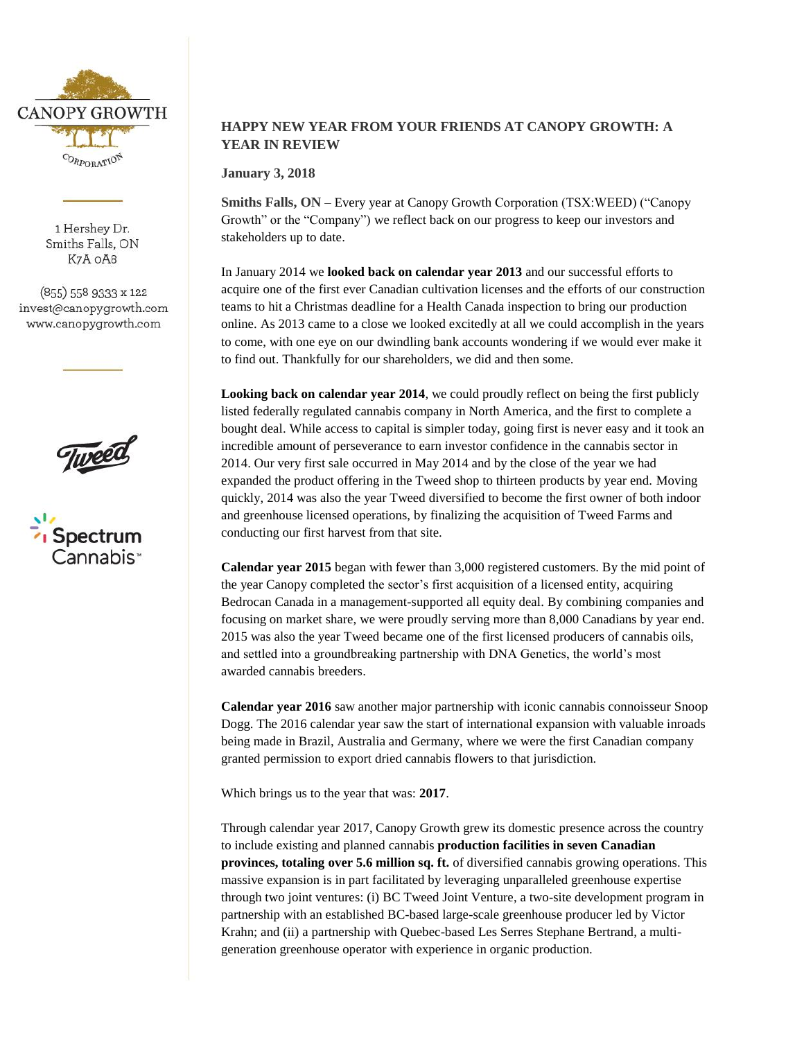

1 Hershey Dr. Smiths Falls, ON K7A OA8

(855) 558 9333 x 122 invest@canopygrowth.com www.canopygrowth.com





# **HAPPY NEW YEAR FROM YOUR FRIENDS AT CANOPY GROWTH: A YEAR IN REVIEW**

**January 3, 2018** 

**Smiths Falls, ON** – Every year at Canopy Growth Corporation (TSX:WEED) ("Canopy Growth" or the "Company") we reflect back on our progress to keep our investors and stakeholders up to date.

In January 2014 we **looked back on calendar year 2013** and our successful efforts to acquire one of the first ever Canadian cultivation licenses and the efforts of our construction teams to hit a Christmas deadline for a Health Canada inspection to bring our production online. As 2013 came to a close we looked excitedly at all we could accomplish in the years to come, with one eye on our dwindling bank accounts wondering if we would ever make it to find out. Thankfully for our shareholders, we did and then some.

**Looking back on calendar year 2014**, we could proudly reflect on being the first publicly listed federally regulated cannabis company in North America, and the first to complete a bought deal. While access to capital is simpler today, going first is never easy and it took an incredible amount of perseverance to earn investor confidence in the cannabis sector in 2014. Our very first sale occurred in May 2014 and by the close of the year we had expanded the product offering in the Tweed shop to thirteen products by year end. Moving quickly, 2014 was also the year Tweed diversified to become the first owner of both indoor and greenhouse licensed operations, by finalizing the acquisition of Tweed Farms and conducting our first harvest from that site.

**Calendar year 2015** began with fewer than 3,000 registered customers. By the mid point of the year Canopy completed the sector's first acquisition of a licensed entity, acquiring Bedrocan Canada in a management-supported all equity deal. By combining companies and focusing on market share, we were proudly serving more than 8,000 Canadians by year end. 2015 was also the year Tweed became one of the first licensed producers of cannabis oils, and settled into a groundbreaking partnership with DNA Genetics, the world's most awarded cannabis breeders.

**Calendar year 2016** saw another major partnership with iconic cannabis connoisseur Snoop Dogg. The 2016 calendar year saw the start of international expansion with valuable inroads being made in Brazil, Australia and Germany, where we were the first Canadian company granted permission to export dried cannabis flowers to that jurisdiction.

Which brings us to the year that was: **2017**.

Through calendar year 2017, Canopy Growth grew its domestic presence across the country to include existing and planned cannabis **production facilities in seven Canadian provinces, totaling over 5.6 million sq. ft.** of diversified cannabis growing operations. This massive expansion is in part facilitated by leveraging unparalleled greenhouse expertise through two joint ventures: (i) BC Tweed Joint Venture, a two-site development program in partnership with an established BC-based large-scale greenhouse producer led by Victor Krahn; and (ii) a partnership with Quebec-based Les Serres Stephane Bertrand, a multigeneration greenhouse operator with experience in organic production.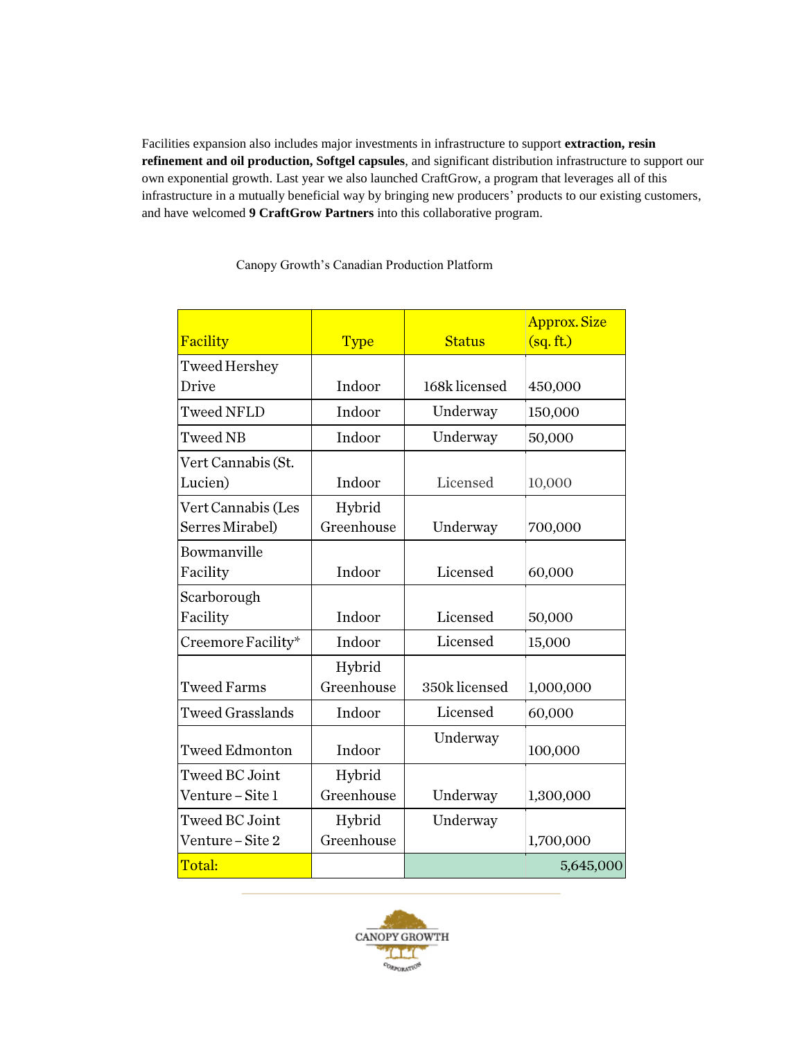Facilities expansion also includes major investments in infrastructure to support **extraction, resin refinement and oil production, Softgel capsules**, and significant distribution infrastructure to support our own exponential growth. Last year we also launched CraftGrow, a program that leverages all of this infrastructure in a mutually beneficial way by bringing new producers' products to our existing customers, and have welcomed **9 CraftGrow Partners** into this collaborative program.

|                         |             |               | <b>Approx. Size</b> |
|-------------------------|-------------|---------------|---------------------|
| Facility                | <b>Type</b> | <b>Status</b> | (sq. ft.)           |
| Tweed Hershey           |             |               |                     |
| Drive                   | Indoor      | 168k licensed | 450,000             |
| <b>Tweed NFLD</b>       | Indoor      | Underway      | 150,000             |
| <b>Tweed NB</b>         | Indoor      | Underway      | 50,000              |
| Vert Cannabis (St.      |             |               |                     |
| Lucien)                 | Indoor      | Licensed      | 10,000              |
| Vert Cannabis (Les      | Hybrid      |               |                     |
| Serres Mirabel)         | Greenhouse  | Underway      | 700,000             |
| Bowmanville             |             |               |                     |
| Facility                | Indoor      | Licensed      | 60,000              |
| Scarborough             |             |               |                     |
| Facility                | Indoor      | Licensed      | 50,000              |
| Creemore Facility*      | Indoor      | Licensed      | 15,000              |
|                         | Hybrid      |               |                     |
| <b>Tweed Farms</b>      | Greenhouse  | 350k licensed | 1,000,000           |
| <b>Tweed Grasslands</b> | Indoor      | Licensed      | 60,000              |
| <b>Tweed Edmonton</b>   | Indoor      | Underway      | 100,000             |
| <b>Tweed BC Joint</b>   | Hybrid      |               |                     |
| Venture – Site 1        | Greenhouse  | Underway      | 1,300,000           |
| Tweed BC Joint          | Hybrid      | Underway      |                     |
| Venture – Site 2        | Greenhouse  |               | 1,700,000           |
| Total:                  |             |               | 5,645,000           |

### Canopy Growth's Canadian Production Platform

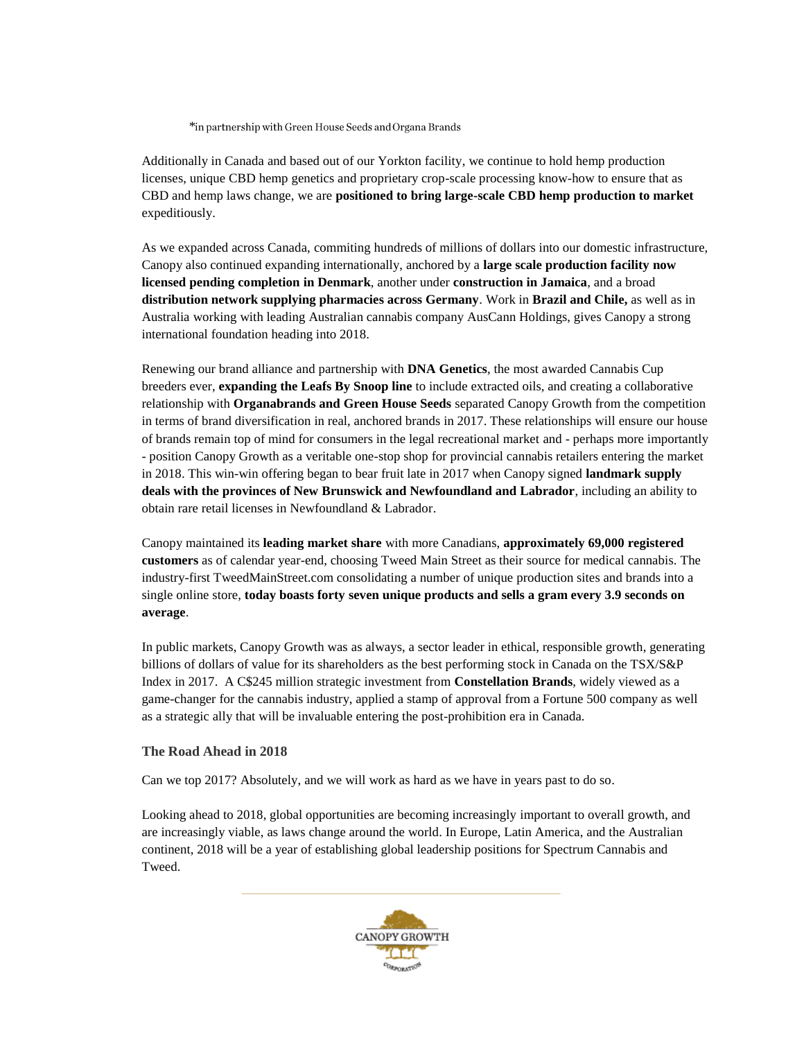\*in partnership with Green House Seeds and Organa Brands

Additionally in Canada and based out of our Yorkton facility, we continue to hold hemp production licenses, unique CBD hemp genetics and proprietary crop-scale processing know-how to ensure that as CBD and hemp laws change, we are **positioned to bring large-scale CBD hemp production to market** expeditiously.

As we expanded across Canada, commiting hundreds of millions of dollars into our domestic infrastructure, Canopy also continued expanding internationally, anchored by a **large scale production facility now licensed pending completion in Denmark**, another under **construction in Jamaica**, and a broad **distribution network supplying pharmacies across Germany**. Work in **Brazil and Chile,** as well as in Australia working with leading Australian cannabis company AusCann Holdings, gives Canopy a strong international foundation heading into 2018.

Renewing our brand alliance and partnership with **DNA Genetics**, the most awarded Cannabis Cup breeders ever, **expanding the Leafs By Snoop line** to include extracted oils, and creating a collaborative relationship with **Organabrands and Green House Seeds** separated Canopy Growth from the competition in terms of brand diversification in real, anchored brands in 2017. These relationships will ensure our house of brands remain top of mind for consumers in the legal recreational market and - perhaps more importantly - position Canopy Growth as a veritable one-stop shop for provincial cannabis retailers entering the market in 2018. This win-win offering began to bear fruit late in 2017 when Canopy signed **landmark supply deals with the provinces of New Brunswick and Newfoundland and Labrador**, including an ability to obtain rare retail licenses in Newfoundland & Labrador.

Canopy maintained its **leading market share** with more Canadians, **approximately 69,000 registered customers** as of calendar year-end, choosing Tweed Main Street as their source for medical cannabis. The industry-first TweedMainStreet.com consolidating a number of unique production sites and brands into a single online store, **today boasts forty seven unique products and sells a gram every 3.9 seconds on average**.

In public markets, Canopy Growth was as always, a sector leader in ethical, responsible growth, generating billions of dollars of value for its shareholders as the best performing stock in Canada on the TSX/S&P Index in 2017.A C\$245 million strategic investment from **Constellation Brands**, widely viewed as a game-changer for the cannabis industry, applied a stamp of approval from a Fortune 500 company as well as a strategic ally that will be invaluable entering the post-prohibition era in Canada.

#### **The Road Ahead in 2018**

Can we top 2017? Absolutely, and we will work as hard as we have in years past to do so.

Looking ahead to 2018, global opportunities are becoming increasingly important to overall growth, and are increasingly viable, as laws change around the world. In Europe, Latin America, and the Australian continent, 2018 will be a year of establishing global leadership positions for Spectrum Cannabis and Tweed.

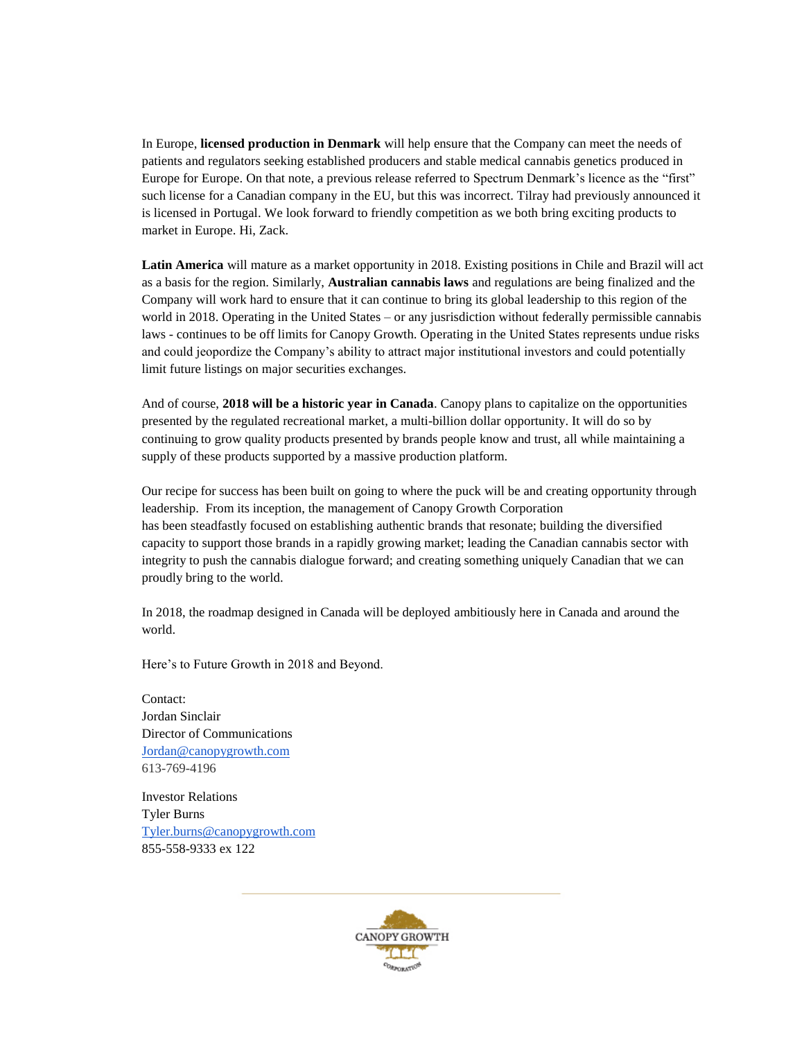In Europe, **licensed production in Denmark** will help ensure that the Company can meet the needs of patients and regulators seeking established producers and stable medical cannabis genetics produced in Europe for Europe. On that note, a previous release referred to Spectrum Denmark's licence as the "first" such license for a Canadian company in the EU, but this was incorrect. Tilray had previously announced it is licensed in Portugal. We look forward to friendly competition as we both bring exciting products to market in Europe. Hi, Zack.

**Latin America** will mature as a market opportunity in 2018. Existing positions in Chile and Brazil will act as a basis for the region. Similarly, **Australian cannabis laws** and regulations are being finalized and the Company will work hard to ensure that it can continue to bring its global leadership to this region of the world in 2018. Operating in the United States – or any jusrisdiction without federally permissible cannabis laws - continues to be off limits for Canopy Growth. Operating in the United States represents undue risks and could jeopordize the Company's ability to attract major institutional investors and could potentially limit future listings on major securities exchanges.

And of course, **2018 will be a historic year in Canada**. Canopy plans to capitalize on the opportunities presented by the regulated recreational market, a multi-billion dollar opportunity. It will do so by continuing to grow quality products presented by brands people know and trust, all while maintaining a supply of these products supported by a massive production platform.

Our recipe for success has been built on going to where the puck will be and creating opportunity through leadership. From its inception, the management of Canopy Growth Corporation has been steadfastly focused on establishing authentic brands that resonate; building the diversified capacity to support those brands in a rapidly growing market; leading the Canadian cannabis sector with integrity to push the cannabis dialogue forward; and creating something uniquely Canadian that we can proudly bring to the world.

In 2018, the roadmap designed in Canada will be deployed ambitiously here in Canada and around the world.

Here's to Future Growth in 2018 and Beyond.

Contact: Jordan Sinclair Director of Communications [Jordan@canopygrowth.com](mailto:Jordan@canopygrowth.com) 613-769-4196

Investor Relations Tyler Burns [Tyler.burns@canopygrowth.com](mailto:Tyler.burns@canopygrowth.com) 855-558-9333 ex 122